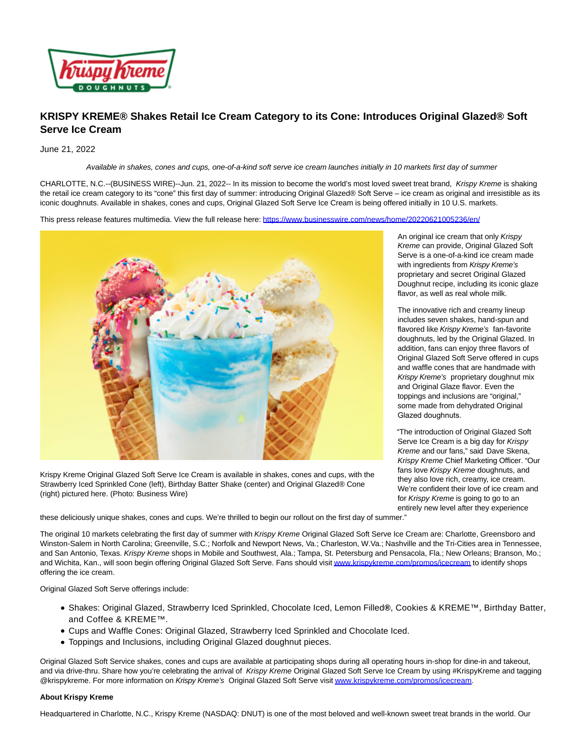

## **KRISPY KREME® Shakes Retail Ice Cream Category to its Cone: Introduces Original Glazed® Soft Serve Ice Cream**

June 21, 2022

Available in shakes, cones and cups, one-of-a-kind soft serve ice cream launches initially in 10 markets first day of summer

CHARLOTTE, N.C.--(BUSINESS WIRE)--Jun. 21, 2022-- In its mission to become the world's most loved sweet treat brand, Krispy Kreme is shaking the retail ice cream category to its "cone" this first day of summer: introducing Original Glazed® Soft Serve – ice cream as original and irresistible as its iconic doughnuts. Available in shakes, cones and cups, Original Glazed Soft Serve Ice Cream is being offered initially in 10 U.S. markets.

This press release features multimedia. View the full release here:<https://www.businesswire.com/news/home/20220621005236/en/>



Krispy Kreme Original Glazed Soft Serve Ice Cream is available in shakes, cones and cups, with the Strawberry Iced Sprinkled Cone (left), Birthday Batter Shake (center) and Original Glazed® Cone (right) pictured here. (Photo: Business Wire)

An original ice cream that only Krispy Kreme can provide, Original Glazed Soft Serve is a one-of-a-kind ice cream made with ingredients from Krispy Kreme's proprietary and secret Original Glazed Doughnut recipe, including its iconic glaze flavor, as well as real whole milk.

The innovative rich and creamy lineup includes seven shakes, hand-spun and flavored like Krispy Kreme's fan-favorite doughnuts, led by the Original Glazed. In addition, fans can enjoy three flavors of Original Glazed Soft Serve offered in cups and waffle cones that are handmade with Krispy Kreme's proprietary doughnut mix and Original Glaze flavor. Even the toppings and inclusions are "original," some made from dehydrated Original Glazed doughnuts.

"The introduction of Original Glazed Soft Serve Ice Cream is a big day for Krispy Kreme and our fans," said Dave Skena, Krispy Kreme Chief Marketing Officer. "Our fans love Krispy Kreme doughnuts, and they also love rich, creamy, ice cream. We're confident their love of ice cream and for Krispy Kreme is going to go to an entirely new level after they experience

these deliciously unique shakes, cones and cups. We're thrilled to begin our rollout on the first day of summer."

The original 10 markets celebrating the first day of summer with Krispy Kreme Original Glazed Soft Serve Ice Cream are: Charlotte, Greensboro and Winston-Salem in North Carolina; Greenville, S.C.; Norfolk and Newport News, Va.; Charleston, W.Va.; Nashville and the Tri-Cities area in Tennessee, and San Antonio, Texas. Krispy Kreme shops in Mobile and Southwest, Ala.; Tampa, St. Petersburg and Pensacola, Fla.; New Orleans; Branson, Mo.; and Wichita, Kan., will soon begin offering Original Glazed Soft Serve. Fans should visi[t www.krispykreme.com/promos/icecream t](https://cts.businesswire.com/ct/CT?id=smartlink&url=http%3A%2F%2Fwww.krispykreme.com%2Fpromos%2Ficecream&esheet=52755541&newsitemid=20220621005236&lan=en-US&anchor=www.krispykreme.com%2Fpromos%2Ficecream&index=1&md5=fba578e96e3db7531ceb14783ba8e8dd)o identify shops offering the ice cream.

Original Glazed Soft Serve offerings include:

- Shakes: Original Glazed, Strawberry Iced Sprinkled, Chocolate Iced, Lemon Filled**®**, Cookies & KREME™, Birthday Batter, and Coffee & KREME™.
- Cups and Waffle Cones: Original Glazed, Strawberry Iced Sprinkled and Chocolate Iced.
- Toppings and Inclusions, including Original Glazed doughnut pieces.

Original Glazed Soft Service shakes, cones and cups are available at participating shops during all operating hours in-shop for dine-in and takeout, and via drive-thru. Share how you're celebrating the arrival of Krispy Kreme Original Glazed Soft Serve Ice Cream by using #KrispyKreme and tagging @krispykreme. For more information on Krispy Kreme's Original Glazed Soft Serve visi[t www.krispykreme.com/promos/icecream.](https://cts.businesswire.com/ct/CT?id=smartlink&url=http%3A%2F%2Fwww.krispykreme.com%2Fpromos%2Ficecream&esheet=52755541&newsitemid=20220621005236&lan=en-US&anchor=www.krispykreme.com%2Fpromos%2Ficecream&index=2&md5=6d5d54a293046a8dc0f1adca88d3841e)

## **About Krispy Kreme**

Headquartered in Charlotte, N.C., Krispy Kreme (NASDAQ: DNUT) is one of the most beloved and well-known sweet treat brands in the world. Our